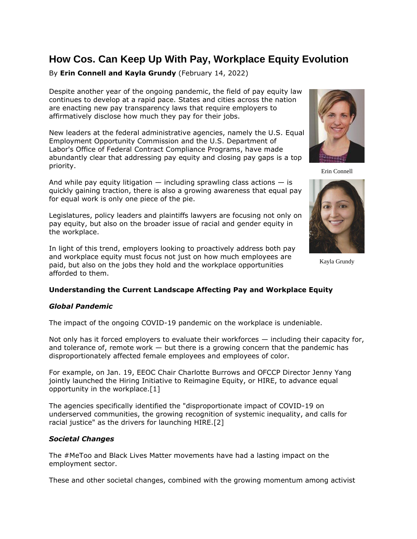# **How Cos. Can Keep Up With Pay, Workplace Equity Evolution**

# By **Erin Connell and Kayla Grundy** (February 14, 2022)

Despite another year of the ongoing pandemic, the field of pay equity law continues to develop at a rapid pace. States and cities across the nation are enacting new pay transparency laws that require employers to affirmatively disclose how much they pay for their jobs.

New leaders at the federal administrative agencies, namely the U.S. [Equal](https://www.law360.com/agencies/equal-employment-opportunity-commission)  [Employment Opportunity Commission](https://www.law360.com/agencies/equal-employment-opportunity-commission) and the [U.S. Department of](https://www.law360.com/agencies/u-s-department-of-labor)  [Labor'](https://www.law360.com/agencies/u-s-department-of-labor)s [Office of Federal Contract Compliance Programs,](https://www.law360.com/agencies/office-of-federal-contract-compliance-programs) have made abundantly clear that addressing pay equity and closing pay gaps is a top priority.

And while pay equity litigation  $-$  including sprawling class actions  $-$  is quickly gaining traction, there is also a growing awareness that equal pay for equal work is only one piece of the pie.

Legislatures, policy leaders and plaintiffs lawyers are focusing not only on pay equity, but also on the broader issue of racial and gender equity in the workplace.

In light of this trend, employers looking to proactively address both pay and workplace equity must focus not just on how much employees are paid, but also on the jobs they hold and the workplace opportunities afforded to them.



Erin Connell



Kayla Grundy

# **Understanding the Current Landscape Affecting Pay and Workplace Equity**

# *Global Pandemic*

The impact of the ongoing COVID-19 pandemic on the workplace is undeniable.

Not only has it forced employers to evaluate their workforces — including their capacity for, and tolerance of, remote work  $-$  but there is a growing concern that the pandemic has disproportionately affected female employees and employees of color.

For example, on Jan. 19, EEOC Chair Charlotte Burrows and OFCCP Director Jenny Yang jointly launched the Hiring Initiative to Reimagine Equity, or HIRE, to advance equal opportunity in the workplace.[1]

The agencies specifically identified the "disproportionate impact of COVID-19 on underserved communities, the growing recognition of systemic inequality, and calls for racial justice" as the drivers for launching HIRE.[2]

# *Societal Changes*

The #MeToo and Black Lives Matter movements have had a lasting impact on the employment sector.

These and other societal changes, combined with the growing momentum among activist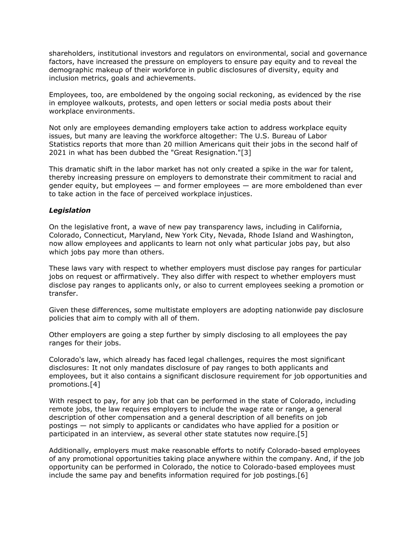shareholders, institutional investors and regulators on environmental, social and governance factors, have increased the pressure on employers to ensure pay equity and to reveal the demographic makeup of their workforce in public disclosures of diversity, equity and inclusion metrics, goals and achievements.

Employees, too, are emboldened by the ongoing social reckoning, as evidenced by the rise in employee walkouts, protests, and open letters or social media posts about their workplace environments.

Not only are employees demanding employers take action to address workplace equity issues, but many are leaving the workforce altogether: The U.S. [Bureau of Labor](https://www.law360.com/agencies/bureau-of-labor-statistics)  [Statistics](https://www.law360.com/agencies/bureau-of-labor-statistics) reports that more than 20 million Americans quit their jobs in the second half of 2021 in what has been dubbed the "Great Resignation."[3]

This dramatic shift in the labor market has not only created a spike in the war for talent, thereby increasing pressure on employers to demonstrate their commitment to racial and gender equity, but employees — and former employees — are more emboldened than ever to take action in the face of perceived workplace injustices.

# *Legislation*

On the legislative front, a wave of new pay transparency laws, including in California, Colorado, Connecticut, Maryland, New York City, Nevada, Rhode Island and Washington, now allow employees and applicants to learn not only what particular jobs pay, but also which jobs pay more than others.

These laws vary with respect to whether employers must disclose pay ranges for particular jobs on request or affirmatively. They also differ with respect to whether employers must disclose pay ranges to applicants only, or also to current employees seeking a promotion or transfer.

Given these differences, some multistate employers are adopting nationwide pay disclosure policies that aim to comply with all of them.

Other employers are going a step further by simply disclosing to all employees the pay ranges for their jobs.

Colorado's law, which already has faced legal challenges, requires the most significant disclosures: It not only mandates disclosure of pay ranges to both applicants and employees, but it also contains a significant disclosure requirement for job opportunities and promotions.[4]

With respect to pay, for any job that can be performed in the state of Colorado, including remote jobs, the law requires employers to include the wage rate or range, a general description of other compensation and a general description of all benefits on job postings — not simply to applicants or candidates who have applied for a position or participated in an interview, as several other state statutes now require.[5]

Additionally, employers must make reasonable efforts to notify Colorado-based employees of any promotional opportunities taking place anywhere within the company. And, if the job opportunity can be performed in Colorado, the notice to Colorado-based employees must include the same pay and benefits information required for job postings.[6]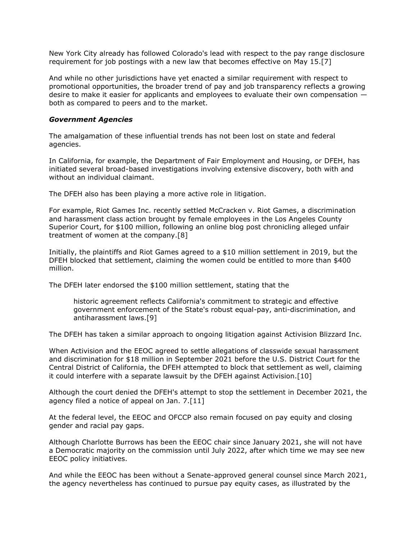New York City already has followed Colorado's lead with respect to the pay range disclosure requirement for job postings with a new law that becomes effective on May 15.[7]

And while no other jurisdictions have yet enacted a similar requirement with respect to promotional opportunities, the broader trend of pay and job transparency reflects a growing desire to make it easier for applicants and employees to evaluate their own compensation both as compared to peers and to the market.

#### *Government Agencies*

The amalgamation of these influential trends has not been lost on state and federal agencies.

In California, for example, the Department of Fair Employment and Housing, or DFEH, has initiated several broad-based investigations involving extensive discovery, both with and without an individual claimant.

The DFEH also has been playing a more active role in litigation.

For example, Riot Games Inc. recently settled McCracken v. Riot Games, a discrimination and harassment class action brought by female employees in the Los Angeles County Superior Court, for \$100 million, following an online blog post chronicling alleged unfair treatment of women at the company.[8]

Initially, the plaintiffs and Riot Games agreed to a \$10 million settlement in 2019, but the DFEH blocked that settlement, claiming the women could be entitled to more than \$400 million.

The DFEH later endorsed the \$100 million settlement, stating that the

historic agreement reflects California's commitment to strategic and effective government enforcement of the State's robust equal-pay, anti-discrimination, and antiharassment laws.[9]

The DFEH has taken a similar approach to ongoing litigation against [Activision Blizzard Inc.](https://www.law360.com/companies/activision-blizzard-inc)

When Activision and the EEOC agreed to [settle](https://www.law360.com/articles/1425752) allegations of classwide sexual harassment and discrimination for \$18 million in September 2021 before the [U.S. District Court for the](https://www.law360.com/agencies/u-s-district-court-for-the-central-district-of-california)  [Central District of California,](https://www.law360.com/agencies/u-s-district-court-for-the-central-district-of-california) the DFEH attempted to block that settlement as well, claiming it could interfere with a separate lawsuit by the DFEH against Activision.[10]

Although the court denied the DFEH's attempt to stop the settlement in December 2021, the agency filed a notice of appeal on Jan. 7.[11]

At the federal level, the EEOC and OFCCP also remain focused on pay equity and closing gender and racial pay gaps.

Although Charlotte Burrows has been the EEOC chair since January 2021, she will not have a Democratic majority on the commission until July 2022, after which time we may see new EEOC policy initiatives.

And while the EEOC has been without a Senate-approved general counsel since March 2021, the agency nevertheless has continued to pursue pay equity cases, as illustrated by the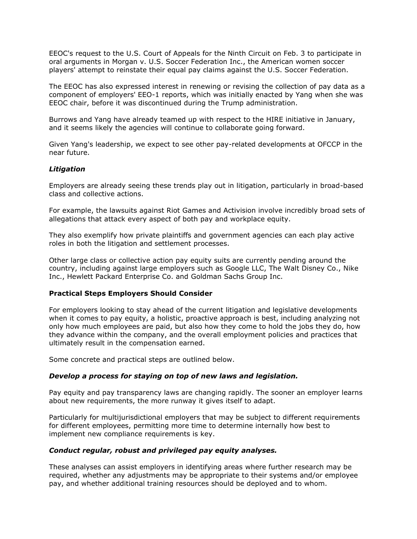EEOC's [request](https://www.law360.com/employment-authority/articles/1461838/eeoc-asks-to-join-us-women-s-soccer-pay-bias-appeal) to the [U.S. Court of Appeals for the Ninth Circuit](https://www.law360.com/agencies/u-s-court-of-appeals-for-the-ninth-circuit) on Feb. 3 to participate in oral arguments in Morgan v. [U.S. Soccer Federation Inc.](https://www.law360.com/companies/united-states-soccer-federation-inc), the American women soccer players' attempt to reinstate their equal pay claims against the U.S. Soccer Federation.

The EEOC has also expressed interest in renewing or revising the collection of pay data as a component of employers' EEO-1 reports, which was initially enacted by Yang when she was EEOC chair, before it was discontinued during the Trump administration.

Burrows and Yang have already teamed up with respect to the HIRE initiative in January, and it seems likely the agencies will continue to collaborate going forward.

Given Yang's leadership, we expect to see other pay-related developments at OFCCP in the near future.

# *Litigation*

Employers are already seeing these trends play out in litigation, particularly in broad-based class and collective actions.

For example, the lawsuits against Riot Games and Activision involve incredibly broad sets of allegations that attack every aspect of both pay and workplace equity.

They also exemplify how private plaintiffs and government agencies can each play active roles in both the litigation and settlement processes.

Other large class or collective action pay equity suits are currently pending around the country, including against large employers such as [Google LLC,](https://www.law360.com/companies/google-llc) The Walt Disney Co., [Nike](https://www.law360.com/companies/nike-inc)  [Inc.](https://www.law360.com/companies/nike-inc), Hewlett Packard Enterprise Co. and [Goldman Sachs Group Inc.](https://www.law360.com/companies/the-goldman-sachs-group-inc)

#### **Practical Steps Employers Should Consider**

For employers looking to stay ahead of the current litigation and legislative developments when it comes to pay equity, a holistic, proactive approach is best, including analyzing not only how much employees are paid, but also how they come to hold the jobs they do, how they advance within the company, and the overall employment policies and practices that ultimately result in the compensation earned.

Some concrete and practical steps are outlined below.

#### *Develop a process for staying on top of new laws and legislation.*

Pay equity and pay transparency laws are changing rapidly. The sooner an employer learns about new requirements, the more runway it gives itself to adapt.

Particularly for multijurisdictional employers that may be subject to different requirements for different employees, permitting more time to determine internally how best to implement new compliance requirements is key.

#### *Conduct regular, robust and privileged pay equity analyses.*

These analyses can assist employers in identifying areas where further research may be required, whether any adjustments may be appropriate to their systems and/or employee pay, and whether additional training resources should be deployed and to whom.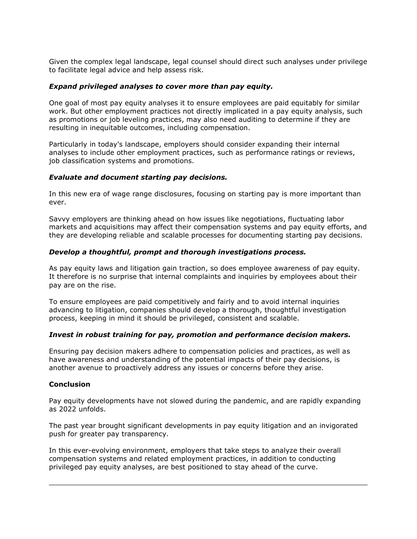Given the complex legal landscape, legal counsel should direct such analyses under privilege to facilitate legal advice and help assess risk.

# *Expand privileged analyses to cover more than pay equity.*

One goal of most pay equity analyses it to ensure employees are paid equitably for similar work. But other employment practices not directly implicated in a pay equity analysis, such as promotions or job leveling practices, may also need auditing to determine if they are resulting in inequitable outcomes, including compensation.

Particularly in today's landscape, employers should consider expanding their internal analyses to include other employment practices, such as performance ratings or reviews, job classification systems and promotions.

# *Evaluate and document starting pay decisions.*

In this new era of wage range disclosures, focusing on starting pay is more important than ever.

Savvy employers are thinking ahead on how issues like negotiations, fluctuating labor markets and acquisitions may affect their compensation systems and pay equity efforts, and they are developing reliable and scalable processes for documenting starting pay decisions.

#### *Develop a thoughtful, prompt and thorough investigations process.*

As pay equity laws and litigation gain traction, so does employee awareness of pay equity. It therefore is no surprise that internal complaints and inquiries by employees about their pay are on the rise.

To ensure employees are paid competitively and fairly and to avoid internal inquiries advancing to litigation, companies should develop a thorough, thoughtful investigation process, keeping in mind it should be privileged, consistent and scalable.

#### *Invest in robust training for pay, promotion and performance decision makers.*

Ensuring pay decision makers adhere to compensation policies and practices, as well as have awareness and understanding of the potential impacts of their pay decisions, is another avenue to proactively address any issues or concerns before they arise.

#### **Conclusion**

Pay equity developments have not slowed during the pandemic, and are rapidly expanding as 2022 unfolds.

The past year brought significant developments in pay equity litigation and an invigorated push for greater pay transparency.

In this ever-evolving environment, employers that take steps to analyze their overall compensation systems and related employment practices, in addition to conducting privileged pay equity analyses, are best positioned to stay ahead of the curve.